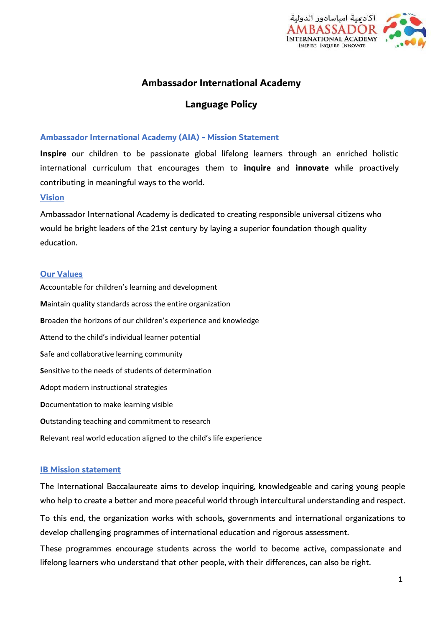

# **Ambassador International Academy**

# **Language Policy**

#### **Ambassador International Academy (AIA) - Mission Statement**

**Inspire** our children to be passionate global lifelong learners through an enriched holistic international curriculum that encourages them to **inquire** and **innovate** while proactively contributing in meaningful ways to the world.

#### **Vision**

Ambassador International Academy is dedicated to creating responsible universal citizens who would be bright leaders of the 21st century by laying a superior foundation though quality education.

#### **Our Values**

**A**ccountable for children's learning and development **M**aintain quality standards across the entire organization **B**roaden the horizons of our children's experience and knowledge **A**ttend to the child's individual learner potential **S**afe and collaborative learning community **S**ensitive to the needs of students of determination **A**dopt modern instructional strategies **D**ocumentation to make learning visible **O**utstanding teaching and commitment to research **R**elevant real world education aligned to the child's life experience

#### **IB Mission statement**

The International Baccalaureate aims to develop inquiring, knowledgeable and caring young people who help to create a better and more peaceful world through intercultural understanding and respect.

To this end, the organization works with schools, governments and international organizations to develop challenging programmes of international education and rigorous assessment.

These programmes encourage students across the world to become active, compassionate and lifelong learners who understand that other people, with their differences, can also be right.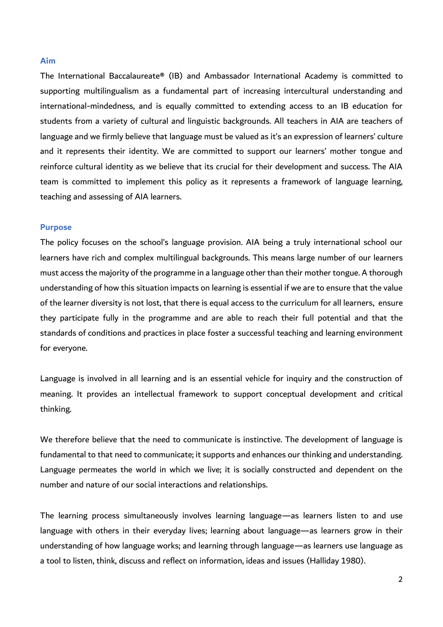#### **Aim**

The International Baccalaureate® (IB) and Ambassador International Academy is committed to supporting multilingualism as a fundamental part of increasing intercultural understanding and international-mindedness, and is equally committed to extending access to an IB education for students from a variety of cultural and linguistic backgrounds. All teachers in AIA are teachers of language and we firmly believe that language must be valued as it's an expression of learners' culture and it represents their identity. We are committed to support our learners' mother tongue and reinforce cultural identity as we believe that its crucial for their development and success. The AIA team is committed to implement this policy as it represents a framework of language learning, teaching and assessing of AIA learners.

#### **Purpose**

The policy focuses on the school's language provision. AIA being a truly international school our learners have rich and complex multilingual backgrounds. This means large number of our learners must access the majority of the programme in a language other than their mother tongue. A thorough understanding of how this situation impacts on learning is essential if we are to ensure that the value of the learner diversity is not lost, that there is equal access to the curriculum for all learners, ensure they participate fully in the programme and are able to reach their full potential and that the standards of conditions and practices in place foster a successful teaching and learning environment for everyone.

Language is involved in all learning and is an essential vehicle for inquiry and the construction of meaning. It provides an intellectual framework to support conceptual development and critical thinking.

We therefore believe that the need to communicate is instinctive. The development of language is fundamental to that need to communicate; it supports and enhances our thinking and understanding. Language permeates the world in which we live; it is socially constructed and dependent on the number and nature of our social interactions and relationships.

The learning process simultaneously involves learning language—as learners listen to and use language with others in their everyday lives; learning about language—as learners grow in their understanding of how language works; and learning through language—as learners use language as a tool to listen, think, discuss and reflect on information, ideas and issues (Halliday 1980).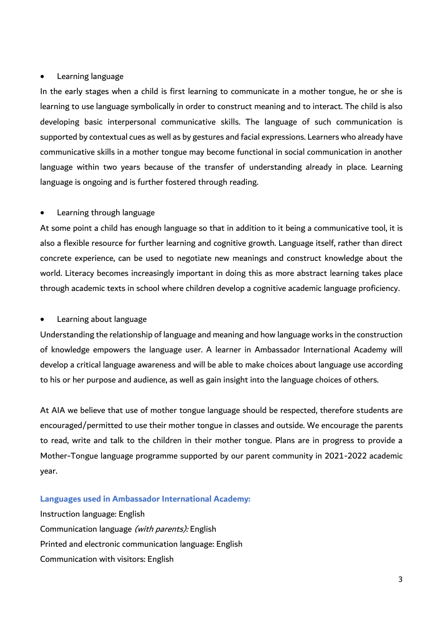#### • Learning language

In the early stages when a child is first learning to communicate in a mother tongue, he or she is learning to use language symbolically in order to construct meaning and to interact. The child is also developing basic interpersonal communicative skills. The language of such communication is supported by contextual cues as well as by gestures and facial expressions. Learners who already have communicative skills in a mother tongue may become functional in social communication in another language within two years because of the transfer of understanding already in place. Learning language is ongoing and is further fostered through reading.

### • Learning through language

At some point a child has enough language so that in addition to it being a communicative tool, it is also a flexible resource for further learning and cognitive growth. Language itself, rather than direct concrete experience, can be used to negotiate new meanings and construct knowledge about the world. Literacy becomes increasingly important in doing this as more abstract learning takes place through academic texts in school where children develop a cognitive academic language proficiency.

### • Learning about language

Understanding the relationship of language and meaning and how language works in the construction of knowledge empowers the language user. A learner in Ambassador International Academy will develop a critical language awareness and will be able to make choices about language use according to his or her purpose and audience, as well as gain insight into the language choices of others.

At AIA we believe that use of mother tongue language should be respected, therefore students are encouraged/permitted to use their mother tongue in classes and outside. We encourage the parents to read, write and talk to the children in their mother tongue. Plans are in progress to provide a Mother-Tongue language programme supported by our parent community in 2021-2022 academic year.

### **Languages used in Ambassador International Academy:**

Instruction language: English Communication language (with parents): English Printed and electronic communication language: English Communication with visitors: English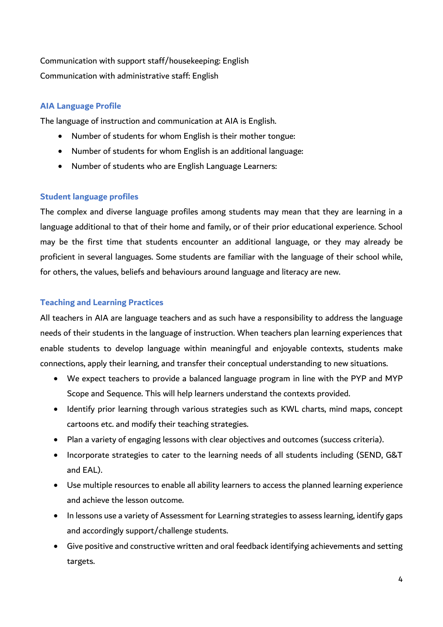# Communication with support staff/housekeeping: English Communication with administrative staff: English

# **AIA Language Profile**

The language of instruction and communication at AIA is English.

- Number of students for whom English is their mother tongue:
- Number of students for whom English is an additional language:
- Number of students who are English Language Learners:

### **Student language profiles**

The complex and diverse language profiles among students may mean that they are learning in a language additional to that of their home and family, or of their prior educational experience. School may be the first time that students encounter an additional language, or they may already be proficient in several languages. Some students are familiar with the language of their school while, for others, the values, beliefs and behaviours around language and literacy are new.

## **Teaching and Learning Practices**

All teachers in AIA are language teachers and as such have a responsibility to address the language needs of their students in the language of instruction. When teachers plan learning experiences that enable students to develop language within meaningful and enjoyable contexts, students make connections, apply their learning, and transfer their conceptual understanding to new situations.

- We expect teachers to provide a balanced language program in line with the PYP and MYP Scope and Sequence. This will help learners understand the contexts provided.
- Identify prior learning through various strategies such as KWL charts, mind maps, concept cartoons etc. and modify their teaching strategies.
- Plan a variety of engaging lessons with clear objectives and outcomes (success criteria).
- Incorporate strategies to cater to the learning needs of all students including (SEND, G&T and EAL).
- Use multiple resources to enable all ability learners to access the planned learning experience and achieve the lesson outcome.
- In lessons use a variety of Assessment for Learning strategies to assess learning, identify gaps and accordingly support/challenge students.
- Give positive and constructive written and oral feedback identifying achievements and setting targets.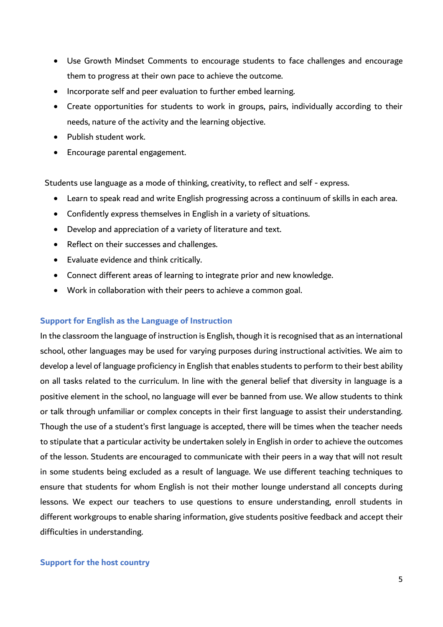- Use Growth Mindset Comments to encourage students to face challenges and encourage them to progress at their own pace to achieve the outcome.
- Incorporate self and peer evaluation to further embed learning.
- Create opportunities for students to work in groups, pairs, individually according to their needs, nature of the activity and the learning objective.
- Publish student work.
- Encourage parental engagement.

Students use language as a mode of thinking, creativity, to reflect and self - express.

- Learn to speak read and write English progressing across a continuum of skills in each area.
- Confidently express themselves in English in a variety of situations.
- Develop and appreciation of a variety of literature and text.
- Reflect on their successes and challenges.
- Evaluate evidence and think critically.
- Connect different areas of learning to integrate prior and new knowledge.
- Work in collaboration with their peers to achieve a common goal.

### **Support for English as the Language of Instruction**

In the classroom the language of instruction is English, though it is recognised that as an international school, other languages may be used for varying purposes during instructional activities. We aim to develop a level of language proficiency in English that enables students to perform to their best ability on all tasks related to the curriculum. In line with the general belief that diversity in language is a positive element in the school, no language will ever be banned from use. We allow students to think or talk through unfamiliar or complex concepts in their first language to assist their understanding. Though the use of a student's first language is accepted, there will be times when the teacher needs to stipulate that a particular activity be undertaken solely in English in order to achieve the outcomes of the lesson. Students are encouraged to communicate with their peers in a way that will not result in some students being excluded as a result of language. We use different teaching techniques to ensure that students for whom English is not their mother lounge understand all concepts during lessons. We expect our teachers to use questions to ensure understanding, enroll students in different workgroups to enable sharing information, give students positive feedback and accept their difficulties in understanding.

### **Support for the host country**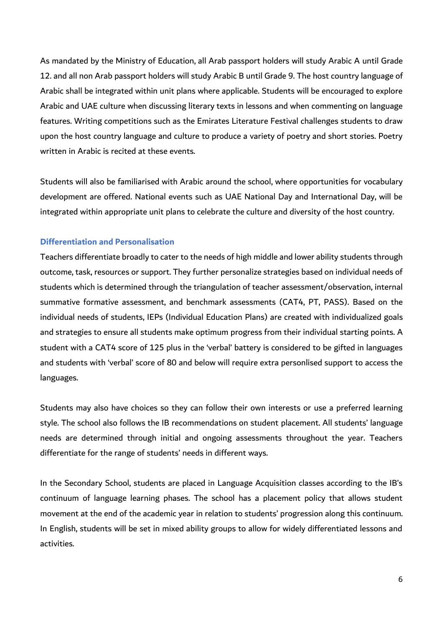As mandated by the Ministry of Education, all Arab passport holders will study Arabic A until Grade 12. and all non Arab passport holders will study Arabic B until Grade 9. The host country language of Arabic shall be integrated within unit plans where applicable. Students will be encouraged to explore Arabic and UAE culture when discussing literary texts in lessons and when commenting on language features. Writing competitions such as the Emirates Literature Festival challenges students to draw upon the host country language and culture to produce a variety of poetry and short stories. Poetry written in Arabic is recited at these events.

Students will also be familiarised with Arabic around the school, where opportunities for vocabulary development are offered. National events such as UAE National Day and International Day, will be integrated within appropriate unit plans to celebrate the culture and diversity of the host country.

### **Differentiation and Personalisation**

Teachers differentiate broadly to cater to the needs of high middle and lower ability students through outcome, task, resources or support. They further personalize strategies based on individual needs of students which is determined through the triangulation of teacher assessment/observation, internal summative formative assessment, and benchmark assessments (CAT4, PT, PASS). Based on the individual needs of students, IEPs (Individual Education Plans) are created with individualized goals and strategies to ensure all students make optimum progress from their individual starting points. A student with a CAT4 score of 125 plus in the 'verbal' battery is considered to be gifted in languages and students with 'verbal' score of 80 and below will require extra personlised support to access the languages.

Students may also have choices so they can follow their own interests or use a preferred learning style. The school also follows the IB recommendations on student placement. All students' language needs are determined through initial and ongoing assessments throughout the year. Teachers differentiate for the range of students' needs in different ways.

In the Secondary School, students are placed in Language Acquisition classes according to the IB's continuum of language learning phases. The school has a placement policy that allows student movement at the end of the academic year in relation to students' progression along this continuum. In English, students will be set in mixed ability groups to allow for widely differentiated lessons and activities.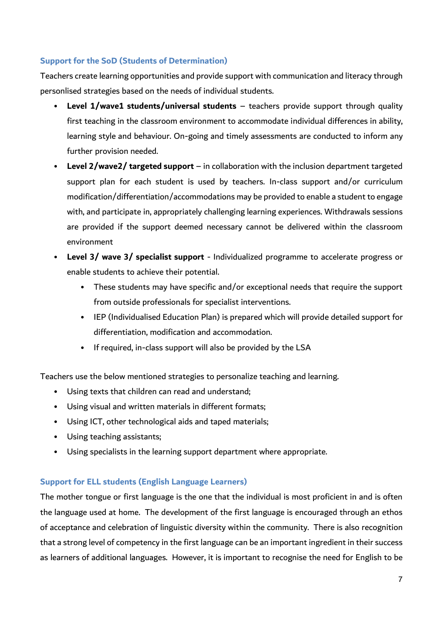# **Support for the SoD (Students of Determination)**

Teachers create learning opportunities and provide support with communication and literacy through personlised strategies based on the needs of individual students.

- **Level 1/wave1 students/universal students** teachers provide support through quality first teaching in the classroom environment to accommodate individual differences in ability, learning style and behaviour. On-going and timely assessments are conducted to inform any further provision needed.
- **Level 2/wave2/ targeted support** in collaboration with the inclusion department targeted support plan for each student is used by teachers. In-class support and/or curriculum modification/differentiation/accommodations may be provided to enable a student to engage with, and participate in, appropriately challenging learning experiences. Withdrawals sessions are provided if the support deemed necessary cannot be delivered within the classroom environment
- **Level 3/ wave 3/ specialist support** Individualized programme to accelerate progress or enable students to achieve their potential.
	- These students may have specific and/or exceptional needs that require the support from outside professionals for specialist interventions.
	- IEP (Individualised Education Plan) is prepared which will provide detailed support for differentiation, modification and accommodation.
	- If required, in-class support will also be provided by the LSA

Teachers use the below mentioned strategies to personalize teaching and learning.

- Using texts that children can read and understand;
- Using visual and written materials in different formats;
- Using ICT, other technological aids and taped materials;
- Using teaching assistants;
- Using specialists in the learning support department where appropriate.

## **Support for ELL students (English Language Learners)**

The mother tongue or first language is the one that the individual is most proficient in and is often the language used at home. The development of the first language is encouraged through an ethos of acceptance and celebration of linguistic diversity within the community. There is also recognition that a strong level of competency in the first language can be an important ingredient in their success as learners of additional languages. However, it is important to recognise the need for English to be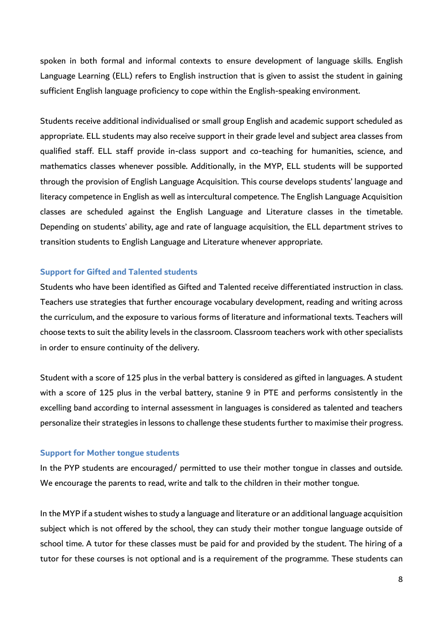spoken in both formal and informal contexts to ensure development of language skills. English Language Learning (ELL) refers to English instruction that is given to assist the student in gaining sufficient English language proficiency to cope within the English-speaking environment.

Students receive additional individualised or small group English and academic support scheduled as appropriate. ELL students may also receive support in their grade level and subject area classes from qualified staff. ELL staff provide in-class support and co-teaching for humanities, science, and mathematics classes whenever possible. Additionally, in the MYP, ELL students will be supported through the provision of English Language Acquisition. This course develops students' language and literacy competence in English as well as intercultural competence. The English Language Acquisition classes are scheduled against the English Language and Literature classes in the timetable. Depending on students' ability, age and rate of language acquisition, the ELL department strives to transition students to English Language and Literature whenever appropriate.

#### **Support for Gifted and Talented students**

Students who have been identified as Gifted and Talented receive differentiated instruction in class. Teachers use strategies that further encourage vocabulary development, reading and writing across the curriculum, and the exposure to various forms of literature and informational texts. Teachers will choose texts to suit the ability levels in the classroom. Classroom teachers work with other specialists in order to ensure continuity of the delivery.

Student with a score of 125 plus in the verbal battery is considered as gifted in languages. A student with a score of 125 plus in the verbal battery, stanine 9 in PTE and performs consistently in the excelling band according to internal assessment in languages is considered as talented and teachers personalize their strategies in lessons to challenge these students further to maximise their progress.

#### **Support for Mother tongue students**

In the PYP students are encouraged/ permitted to use their mother tongue in classes and outside. We encourage the parents to read, write and talk to the children in their mother tongue.

In the MYP if a student wishes to study a language and literature or an additional language acquisition subject which is not offered by the school, they can study their mother tongue language outside of school time. A tutor for these classes must be paid for and provided by the student. The hiring of a tutor for these courses is not optional and is a requirement of the programme. These students can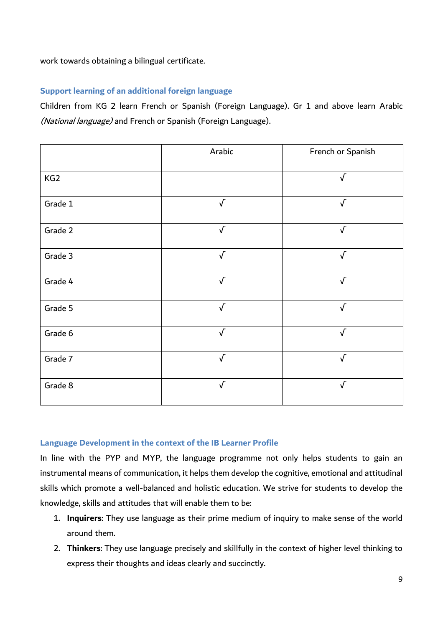work towards obtaining a bilingual certificate.

## **Support learning of an additional foreign language**

Children from KG 2 learn French or Spanish (Foreign Language). Gr 1 and above learn Arabic (National language) and French or Spanish (Foreign Language).

|                 | Arabic     | French or Spanish |
|-----------------|------------|-------------------|
| KG <sub>2</sub> |            | $\sqrt{ }$        |
| Grade 1         | $\sqrt{ }$ | $\sqrt{ }$        |
| Grade 2         | $\sqrt{ }$ | $\sqrt{ }$        |
| Grade 3         | $\sqrt{ }$ | $\sqrt{ }$        |
| Grade 4         | $\sqrt{ }$ | $\sqrt{ }$        |
| Grade 5         | $\sqrt{ }$ | $\sqrt{ }$        |
| Grade 6         | $\sqrt{ }$ | $\sqrt{ }$        |
| Grade 7         | $\sqrt{ }$ | $\sqrt{ }$        |
| Grade 8         | $\sqrt{}$  | $\sqrt{}$         |

### **Language Development in the context of the IB Learner Profile**

In line with the PYP and MYP, the language programme not only helps students to gain an instrumental means of communication, it helps them develop the cognitive, emotional and attitudinal skills which promote a well-balanced and holistic education. We strive for students to develop the knowledge, skills and attitudes that will enable them to be:

- 1. **Inquirers**: They use language as their prime medium of inquiry to make sense of the world around them.
- 2. **Thinkers**: They use language precisely and skillfully in the context of higher level thinking to express their thoughts and ideas clearly and succinctly.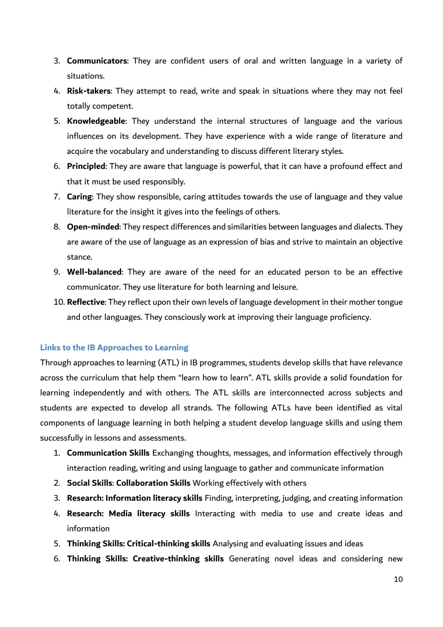- 3. **Communicators**: They are confident users of oral and written language in a variety of situations.
- 4. **Risk-takers**: They attempt to read, write and speak in situations where they may not feel totally competent.
- 5. **Knowledgeable**: They understand the internal structures of language and the various influences on its development. They have experience with a wide range of literature and acquire the vocabulary and understanding to discuss different literary styles.
- 6. **Principled**: They are aware that language is powerful, that it can have a profound effect and that it must be used responsibly.
- 7. **Caring**: They show responsible, caring attitudes towards the use of language and they value literature for the insight it gives into the feelings of others.
- 8. **Open-minded**: They respect differences and similarities between languages and dialects. They are aware of the use of language as an expression of bias and strive to maintain an objective stance.
- 9. **Well-balanced**: They are aware of the need for an educated person to be an effective communicator. They use literature for both learning and leisure.
- 10. **Reflective**: They reflect upon their own levels of language development in their mother tongue and other languages. They consciously work at improving their language proficiency.

## **Links to the IB Approaches to Learning**

Through approaches to learning (ATL) in IB programmes, students develop skills that have relevance across the curriculum that help them "learn how to learn". ATL skills provide a solid foundation for learning independently and with others. The ATL skills are interconnected across subjects and students are expected to develop all strands. The following ATLs have been identified as vital components of language learning in both helping a student develop language skills and using them successfully in lessons and assessments.

- 1. **Communication Skills** Exchanging thoughts, messages, and information effectively through interaction reading, writing and using language to gather and communicate information
- 2. **Social Skills**: **Collaboration Skills** Working effectively with others
- 3. **Research: Information literacy skills** Finding, interpreting, judging, and creating information
- 4. **Research: Media literacy skills** Interacting with media to use and create ideas and information
- 5. **Thinking Skills: Critical-thinking skills** Analysing and evaluating issues and ideas
- 6. **Thinking Skills: Creative-thinking skills** Generating novel ideas and considering new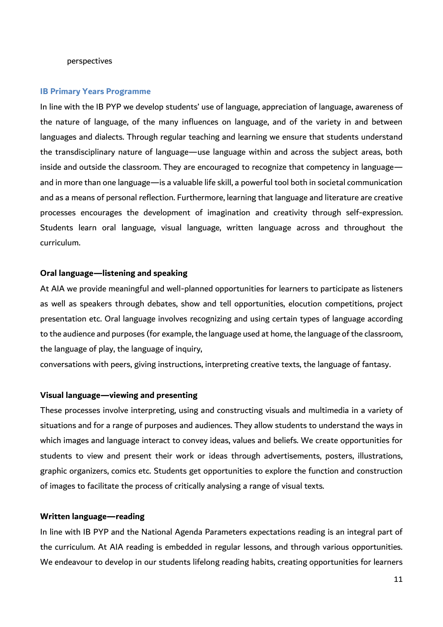#### perspectives

#### **IB Primary Years Programme**

In line with the IB PYP we develop students' use of language, appreciation of language, awareness of the nature of language, of the many influences on language, and of the variety in and between languages and dialects. Through regular teaching and learning we ensure that students understand the transdisciplinary nature of language—use language within and across the subject areas, both inside and outside the classroom. They are encouraged to recognize that competency in language and in more than one language—is a valuable life skill, a powerful tool both in societal communication and as a means of personal reflection. Furthermore, learning that language and literature are creative processes encourages the development of imagination and creativity through self-expression. Students learn oral language, visual language, written language across and throughout the curriculum.

#### **Oral language—listening and speaking**

At AIA we provide meaningful and well-planned opportunities for learners to participate as listeners as well as speakers through debates, show and tell opportunities, elocution competitions, project presentation etc. Oral language involves recognizing and using certain types of language according to the audience and purposes (for example, the language used at home, the language of the classroom, the language of play, the language of inquiry,

conversations with peers, giving instructions, interpreting creative texts, the language of fantasy.

#### **Visual language—viewing and presenting**

These processes involve interpreting, using and constructing visuals and multimedia in a variety of situations and for a range of purposes and audiences. They allow students to understand the ways in which images and language interact to convey ideas, values and beliefs. We create opportunities for students to view and present their work or ideas through advertisements, posters, illustrations, graphic organizers, comics etc. Students get opportunities to explore the function and construction of images to facilitate the process of critically analysing a range of visual texts.

#### **Written language—reading**

In line with IB PYP and the National Agenda Parameters expectations reading is an integral part of the curriculum. At AIA reading is embedded in regular lessons, and through various opportunities. We endeavour to develop in our students lifelong reading habits, creating opportunities for learners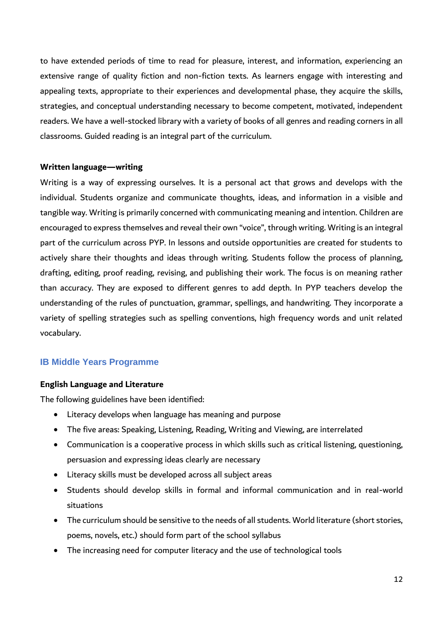to have extended periods of time to read for pleasure, interest, and information, experiencing an extensive range of quality fiction and non-fiction texts. As learners engage with interesting and appealing texts, appropriate to their experiences and developmental phase, they acquire the skills, strategies, and conceptual understanding necessary to become competent, motivated, independent readers. We have a well-stocked library with a variety of books of all genres and reading corners in all classrooms. Guided reading is an integral part of the curriculum.

### **Written language—writing**

Writing is a way of expressing ourselves. It is a personal act that grows and develops with the individual. Students organize and communicate thoughts, ideas, and information in a visible and tangible way. Writing is primarily concerned with communicating meaning and intention. Children are encouraged to express themselves and reveal their own "voice", through writing. Writing is an integral part of the curriculum across PYP. In lessons and outside opportunities are created for students to actively share their thoughts and ideas through writing. Students follow the process of planning, drafting, editing, proof reading, revising, and publishing their work. The focus is on meaning rather than accuracy. They are exposed to different genres to add depth. In PYP teachers develop the understanding of the rules of punctuation, grammar, spellings, and handwriting. They incorporate a variety of spelling strategies such as spelling conventions, high frequency words and unit related vocabulary.

## **IB Middle Years Programme**

#### **English Language and Literature**

The following guidelines have been identified:

- Literacy develops when language has meaning and purpose
- The five areas: Speaking, Listening, Reading, Writing and Viewing, are interrelated
- Communication is a cooperative process in which skills such as critical listening, questioning, persuasion and expressing ideas clearly are necessary
- Literacy skills must be developed across all subject areas
- Students should develop skills in formal and informal communication and in real-world situations
- The curriculum should be sensitive to the needs of all students. World literature (short stories, poems, novels, etc.) should form part of the school syllabus
- The increasing need for computer literacy and the use of technological tools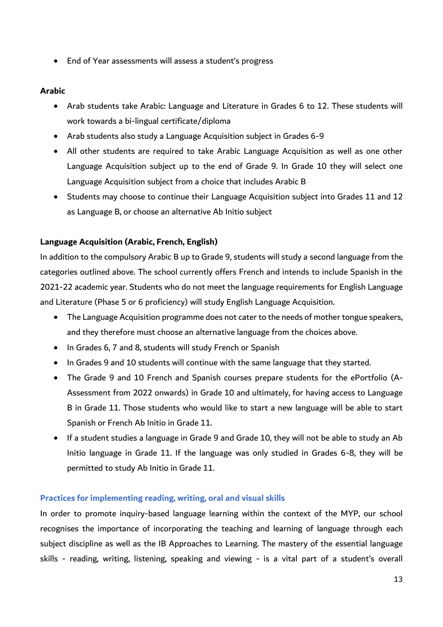• End of Year assessments will assess a student's progress

### **Arabic**

- Arab students take Arabic: Language and Literature in Grades 6 to 12. These students will work towards a bi-lingual certificate/diploma
- Arab students also study a Language Acquisition subject in Grades 6-9
- All other students are required to take Arabic Language Acquisition as well as one other Language Acquisition subject up to the end of Grade 9. In Grade 10 they will select one Language Acquisition subject from a choice that includes Arabic B
- Students may choose to continue their Language Acquisition subject into Grades 11 and 12 as Language B, or choose an alternative Ab Initio subject

### **Language Acquisition (Arabic, French, English)**

In addition to the compulsory Arabic B up to Grade 9, students will study a second language from the categories outlined above. The school currently offers French and intends to include Spanish in the 2021-22 academic year. Students who do not meet the language requirements for English Language and Literature (Phase 5 or 6 proficiency) will study English Language Acquisition.

- The Language Acquisition programme does not cater to the needs of mother tongue speakers, and they therefore must choose an alternative language from the choices above.
- In Grades 6, 7 and 8, students will study French or Spanish
- In Grades 9 and 10 students will continue with the same language that they started.
- The Grade 9 and 10 French and Spanish courses prepare students for the ePortfolio (A-Assessment from 2022 onwards) in Grade 10 and ultimately, for having access to Language B in Grade 11. Those students who would like to start a new language will be able to start Spanish or French Ab Initio in Grade 11.
- If a student studies a language in Grade 9 and Grade 10, they will not be able to study an Ab Initio language in Grade 11. If the language was only studied in Grades 6-8, they will be permitted to study Ab Initio in Grade 11.

### **Practices for implementing reading, writing, oral and visual skills**

In order to promote inquiry-based language learning within the context of the MYP, our school recognises the importance of incorporating the teaching and learning of language through each subject discipline as well as the IB Approaches to Learning. The mastery of the essential language skills - reading, writing, listening, speaking and viewing - is a vital part of a student's overall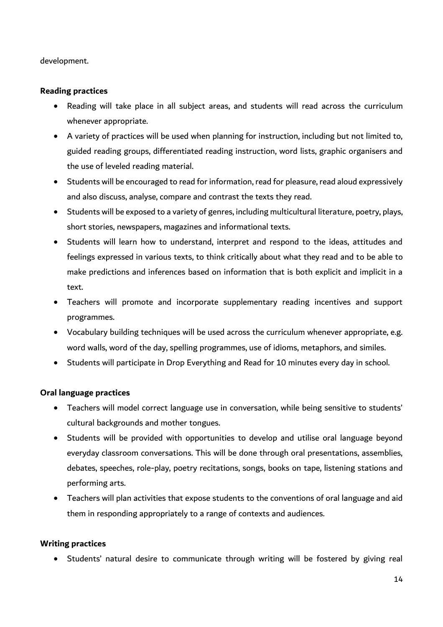development.

### **Reading practices**

- Reading will take place in all subject areas, and students will read across the curriculum whenever appropriate.
- A variety of practices will be used when planning for instruction, including but not limited to, guided reading groups, differentiated reading instruction, word lists, graphic organisers and the use of leveled reading material.
- Students will be encouraged to read for information, read for pleasure, read aloud expressively and also discuss, analyse, compare and contrast the texts they read.
- Students will be exposed to a variety of genres, including multicultural literature, poetry, plays, short stories, newspapers, magazines and informational texts.
- Students will learn how to understand, interpret and respond to the ideas, attitudes and feelings expressed in various texts, to think critically about what they read and to be able to make predictions and inferences based on information that is both explicit and implicit in a text.
- Teachers will promote and incorporate supplementary reading incentives and support programmes.
- Vocabulary building techniques will be used across the curriculum whenever appropriate, e.g. word walls, word of the day, spelling programmes, use of idioms, metaphors, and similes.
- Students will participate in Drop Everything and Read for 10 minutes every day in school.

## **Oral language practices**

- Teachers will model correct language use in conversation, while being sensitive to students' cultural backgrounds and mother tongues.
- Students will be provided with opportunities to develop and utilise oral language beyond everyday classroom conversations. This will be done through oral presentations, assemblies, debates, speeches, role-play, poetry recitations, songs, books on tape, listening stations and performing arts.
- Teachers will plan activities that expose students to the conventions of oral language and aid them in responding appropriately to a range of contexts and audiences.

### **Writing practices**

• Students' natural desire to communicate through writing will be fostered by giving real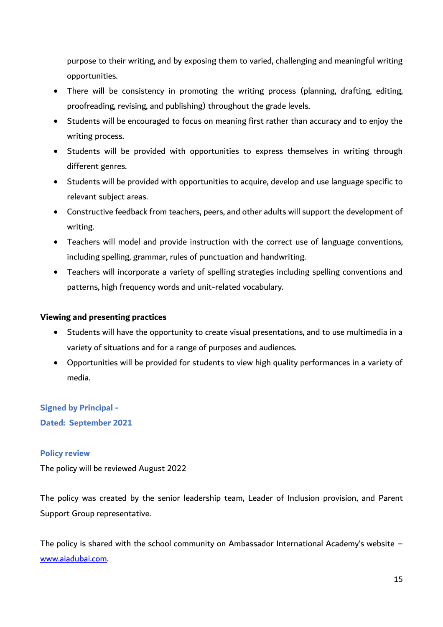purpose to their writing, and by exposing them to varied, challenging and meaningful writing opportunities.

- There will be consistency in promoting the writing process (planning, drafting, editing, proofreading, revising, and publishing) throughout the grade levels.
- Students will be encouraged to focus on meaning first rather than accuracy and to enjoy the writing process.
- Students will be provided with opportunities to express themselves in writing through different genres.
- Students will be provided with opportunities to acquire, develop and use language specific to relevant subject areas.
- Constructive feedback from teachers, peers, and other adults will support the development of writing.
- Teachers will model and provide instruction with the correct use of language conventions, including spelling, grammar, rules of punctuation and handwriting.
- Teachers will incorporate a variety of spelling strategies including spelling conventions and patterns, high frequency words and unit-related vocabulary.

## **Viewing and presenting practices**

- Students will have the opportunity to create visual presentations, and to use multimedia in a variety of situations and for a range of purposes and audiences.
- Opportunities will be provided for students to view high quality performances in a variety of media.

# **Signed by Principal - Dated: September 2021**

## **Policy review**

The policy will be reviewed August 2022

The policy was created by the senior leadership team, Leader of Inclusion provision, and Parent Support Group representative.

The policy is shared with the school community on Ambassador International Academy's website – [www.aiadubai.com.](http://www.aiadubai.com/)